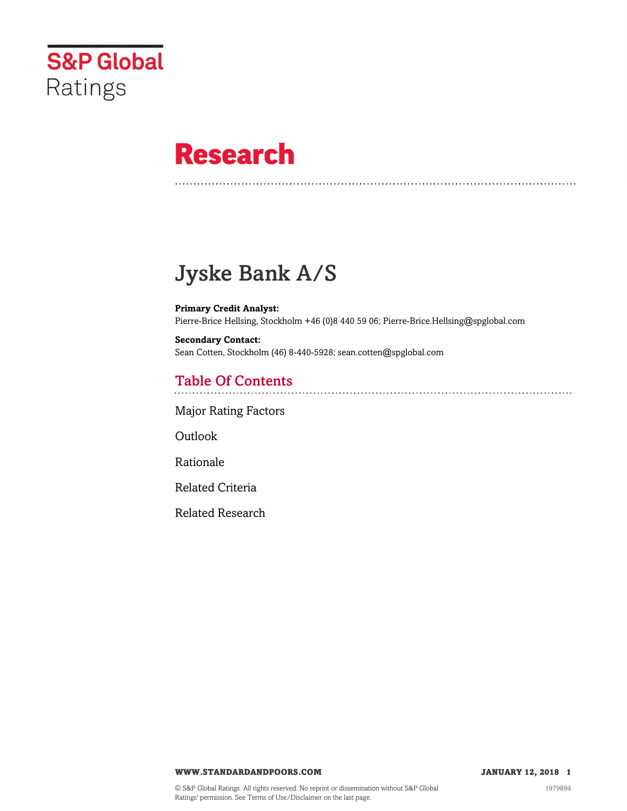

# **Research**

# Jyske Bank A/S

**Primary Credit Analyst:** Pierre-Brice Hellsing, Stockholm +46 (0)8 440 59 06; Pierre-Brice.Hellsing@spglobal.com

**Secondary Contact:** Sean Cotten, Stockholm (46) 8-440-5928; sean.cotten@spglobal.com

# Table Of Contents

[Major Rating Factors](#page-1-0)

[Outlook](#page--1-0)

[Rationale](#page-2-0)

[Related Criteria](#page-11-0)

[Related Research](#page-12-0)

**WWW.STANDARDANDPOORS.COM JANUARY 12, 2018 1**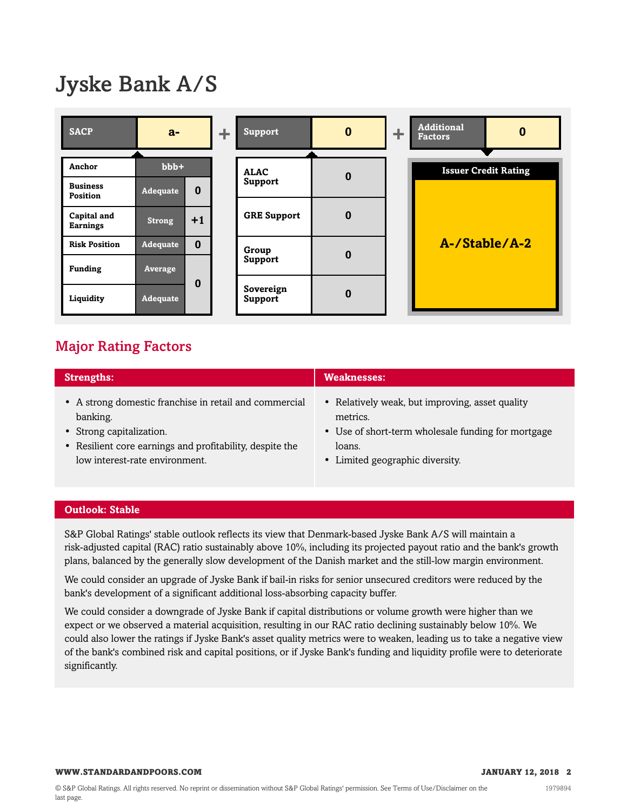# Jyske Bank A/S

| <b>SACP</b>                    | $a-$            |          | ÷. | <b>Support</b>       | $\bf{0}$ | ÷ | <b>Additional</b><br><b>Factors</b> | $\bf{0}$                    |
|--------------------------------|-----------------|----------|----|----------------------|----------|---|-------------------------------------|-----------------------------|
|                                |                 |          |    |                      |          |   |                                     |                             |
| Anchor                         | $bbb+$          |          |    | <b>ALAC</b>          | $\bf{0}$ |   |                                     | <b>Issuer Credit Rating</b> |
| <b>Business</b><br>Position    | <b>Adequate</b> | $\bf{0}$ |    | Support              |          |   |                                     |                             |
| Capital and<br><b>Earnings</b> | <b>Strong</b>   | $+1$     |    | <b>GRE Support</b>   | $\bf{0}$ |   |                                     |                             |
| <b>Risk Position</b>           | <b>Adequate</b> | $\bf{0}$ |    | Group                | $\bf{0}$ |   |                                     | A-/Stable/A-2               |
| <b>Funding</b>                 | Average         |          |    | Support              |          |   |                                     |                             |
| Liquidity                      | Adequate        | 0        |    | Sovereign<br>Support | $\bf{0}$ |   |                                     |                             |

# <span id="page-1-0"></span>Major Rating Factors

| <b>Strengths:</b>                                        | <b>Weaknesses:</b>                                 |
|----------------------------------------------------------|----------------------------------------------------|
| • A strong domestic franchise in retail and commercial   | • Relatively weak, but improving, asset quality    |
| banking.                                                 | metrics.                                           |
| • Strong capitalization.                                 | • Use of short-term wholesale funding for mortgage |
| • Resilient core earnings and profitability, despite the | loans.                                             |
| low interest-rate environment.                           | • Limited geographic diversity.                    |

#### **Outlook: Stable**

S&P Global Ratings' stable outlook reflects its view that Denmark-based Jyske Bank A/S will maintain a risk-adjusted capital (RAC) ratio sustainably above 10%, including its projected payout ratio and the bank's growth plans, balanced by the generally slow development of the Danish market and the still-low margin environment.

We could consider an upgrade of Jyske Bank if bail-in risks for senior unsecured creditors were reduced by the bank's development of a significant additional loss-absorbing capacity buffer.

We could consider a downgrade of Jyske Bank if capital distributions or volume growth were higher than we expect or we observed a material acquisition, resulting in our RAC ratio declining sustainably below 10%. We could also lower the ratings if Jyske Bank's asset quality metrics were to weaken, leading us to take a negative view of the bank's combined risk and capital positions, or if Jyske Bank's funding and liquidity profile were to deteriorate significantly.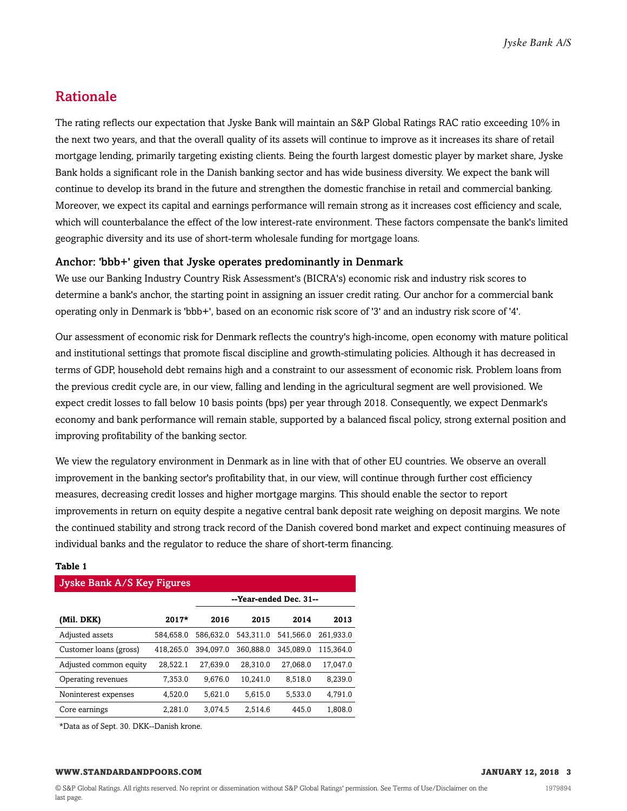### <span id="page-2-0"></span>Rationale

The rating reflects our expectation that Jyske Bank will maintain an S&P Global Ratings RAC ratio exceeding 10% in the next two years, and that the overall quality of its assets will continue to improve as it increases its share of retail mortgage lending, primarily targeting existing clients. Being the fourth largest domestic player by market share, Jyske Bank holds a significant role in the Danish banking sector and has wide business diversity. We expect the bank will continue to develop its brand in the future and strengthen the domestic franchise in retail and commercial banking. Moreover, we expect its capital and earnings performance will remain strong as it increases cost efficiency and scale, which will counterbalance the effect of the low interest-rate environment. These factors compensate the bank's limited geographic diversity and its use of short-term wholesale funding for mortgage loans.

#### Anchor: 'bbb+' given that Jyske operates predominantly in Denmark

We use our Banking Industry Country Risk Assessment's (BICRA's) economic risk and industry risk scores to determine a bank's anchor, the starting point in assigning an issuer credit rating. Our anchor for a commercial bank operating only in Denmark is 'bbb+', based on an economic risk score of '3' and an industry risk score of '4'.

Our assessment of economic risk for Denmark reflects the country's high-income, open economy with mature political and institutional settings that promote fiscal discipline and growth-stimulating policies. Although it has decreased in terms of GDP, household debt remains high and a constraint to our assessment of economic risk. Problem loans from the previous credit cycle are, in our view, falling and lending in the agricultural segment are well provisioned. We expect credit losses to fall below 10 basis points (bps) per year through 2018. Consequently, we expect Denmark's economy and bank performance will remain stable, supported by a balanced fiscal policy, strong external position and improving profitability of the banking sector.

We view the regulatory environment in Denmark as in line with that of other EU countries. We observe an overall improvement in the banking sector's profitability that, in our view, will continue through further cost efficiency measures, decreasing credit losses and higher mortgage margins. This should enable the sector to report improvements in return on equity despite a negative central bank deposit rate weighing on deposit margins. We note the continued stability and strong track record of the Danish covered bond market and expect continuing measures of individual banks and the regulator to reduce the share of short-term financing.

| <b>Jyske Bank A/S Key Figures</b> |           |           |                        |           |           |  |  |  |  |
|-----------------------------------|-----------|-----------|------------------------|-----------|-----------|--|--|--|--|
|                                   |           |           | --Year-ended Dec. 31-- |           |           |  |  |  |  |
| (Mil. DKK)                        | $2017*$   | 2016      | 2015                   | 2014      | 2013      |  |  |  |  |
| Adjusted assets                   | 584.658.0 | 586.632.0 | 543.311.0              | 541,566.0 | 261.933.0 |  |  |  |  |
| Customer loans (gross)            | 418.265.0 | 394.097.0 | 360,888.0              | 345,089.0 | 115.364.0 |  |  |  |  |
| Adjusted common equity            | 28,522.1  | 27.639.0  | 28.310.0               | 27,068.0  | 17.047.0  |  |  |  |  |
| Operating revenues                | 7.353.0   | 9.676.0   | 10.241.0               | 8.518.0   | 8.239.0   |  |  |  |  |
| Noninterest expenses              | 4.520.0   | 5.621.0   | 5.615.0                | 5.533.0   | 4.791.0   |  |  |  |  |
| Core earnings                     | 2.281.0   | 3.074.5   | 2.514.6                | 445.0     | 1,808.0   |  |  |  |  |

#### **Table 1**

\*Data as of Sept. 30. DKK--Danish krone.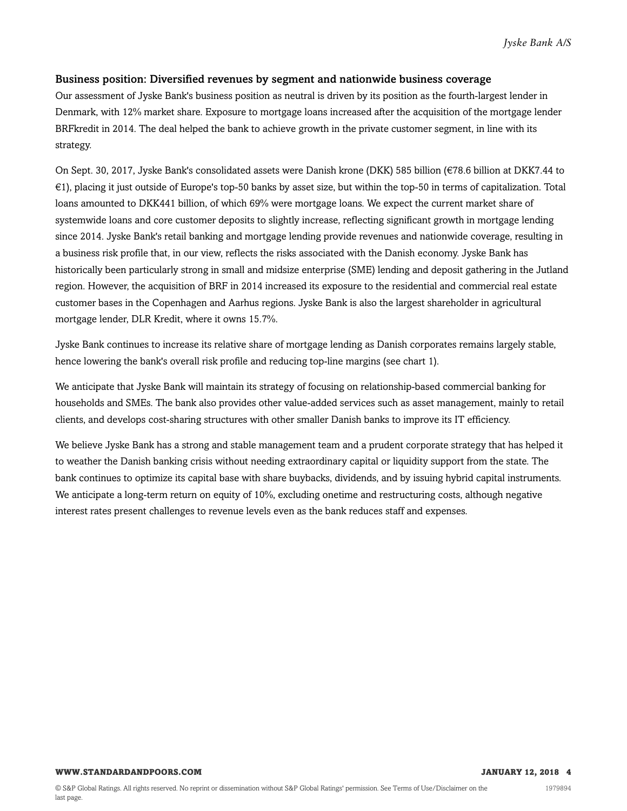#### Business position: Diversified revenues by segment and nationwide business coverage

Our assessment of Jyske Bank's business position as neutral is driven by its position as the fourth-largest lender in Denmark, with 12% market share. Exposure to mortgage loans increased after the acquisition of the mortgage lender BRFkredit in 2014. The deal helped the bank to achieve growth in the private customer segment, in line with its strategy.

On Sept. 30, 2017, Jyske Bank's consolidated assets were Danish krone (DKK) 585 billion (€78.6 billion at DKK7.44 to €1), placing it just outside of Europe's top-50 banks by asset size, but within the top-50 in terms of capitalization. Total loans amounted to DKK441 billion, of which 69% were mortgage loans. We expect the current market share of systemwide loans and core customer deposits to slightly increase, reflecting significant growth in mortgage lending since 2014. Jyske Bank's retail banking and mortgage lending provide revenues and nationwide coverage, resulting in a business risk profile that, in our view, reflects the risks associated with the Danish economy. Jyske Bank has historically been particularly strong in small and midsize enterprise (SME) lending and deposit gathering in the Jutland region. However, the acquisition of BRF in 2014 increased its exposure to the residential and commercial real estate customer bases in the Copenhagen and Aarhus regions. Jyske Bank is also the largest shareholder in agricultural mortgage lender, DLR Kredit, where it owns 15.7%.

Jyske Bank continues to increase its relative share of mortgage lending as Danish corporates remains largely stable, hence lowering the bank's overall risk profile and reducing top-line margins (see chart 1).

We anticipate that Jyske Bank will maintain its strategy of focusing on relationship-based commercial banking for households and SMEs. The bank also provides other value-added services such as asset management, mainly to retail clients, and develops cost-sharing structures with other smaller Danish banks to improve its IT efficiency.

We believe Jyske Bank has a strong and stable management team and a prudent corporate strategy that has helped it to weather the Danish banking crisis without needing extraordinary capital or liquidity support from the state. The bank continues to optimize its capital base with share buybacks, dividends, and by issuing hybrid capital instruments. We anticipate a long-term return on equity of 10%, excluding onetime and restructuring costs, although negative interest rates present challenges to revenue levels even as the bank reduces staff and expenses.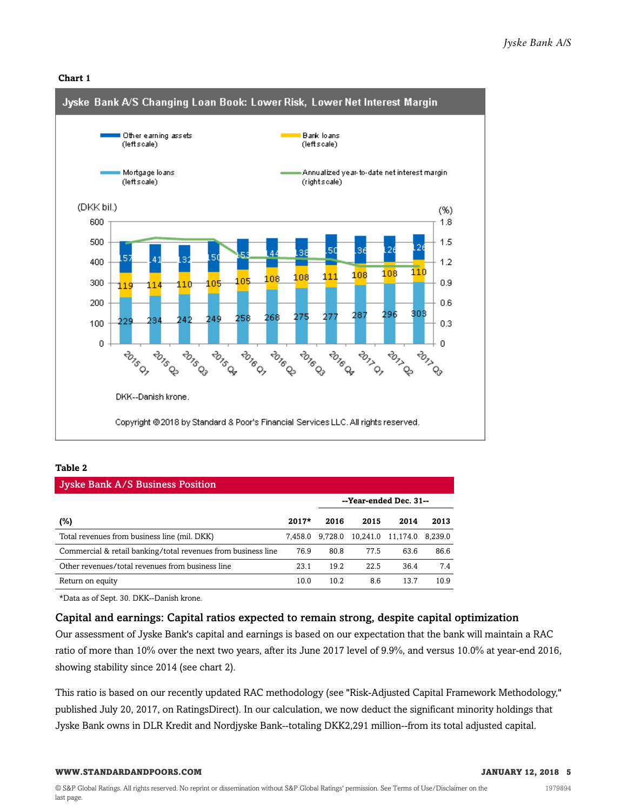#### **Chart 1**



#### **Table 2**

| <b>Jyske Bank A/S Business Position</b>                       |         |         |          |                        |         |  |  |  |  |
|---------------------------------------------------------------|---------|---------|----------|------------------------|---------|--|--|--|--|
|                                                               |         |         |          | --Year-ended Dec. 31-- |         |  |  |  |  |
| (%)                                                           | $2017*$ | 2016    | 2015     | 2014                   | 2013    |  |  |  |  |
| Total revenues from business line (mil. DKK)                  | 7.458.0 | 9.728.0 | 10.241.0 | 11,174.0               | 8.239.0 |  |  |  |  |
| Commercial & retail banking/total revenues from business line | 76.9    | 80.8    | 77.5     | 63.6                   | 86.6    |  |  |  |  |
| Other revenues/total revenues from business line              | 23.1    | 19.2    | 22.5     | 36.4                   | 7.4     |  |  |  |  |

Return on equity 10.0 10.2 8.6 13.7 10.9

\*Data as of Sept. 30. DKK--Danish krone.

#### Capital and earnings: Capital ratios expected to remain strong, despite capital optimization

Our assessment of Jyske Bank's capital and earnings is based on our expectation that the bank will maintain a RAC ratio of more than 10% over the next two years, after its June 2017 level of 9.9%, and versus 10.0% at year-end 2016, showing stability since 2014 (see chart 2).

This ratio is based on our recently updated RAC methodology (see "Risk-Adjusted Capital Framework Methodology," published July 20, 2017, on RatingsDirect). In our calculation, we now deduct the significant minority holdings that Jyske Bank owns in DLR Kredit and Nordjyske Bank--totaling DKK2,291 million--from its total adjusted capital.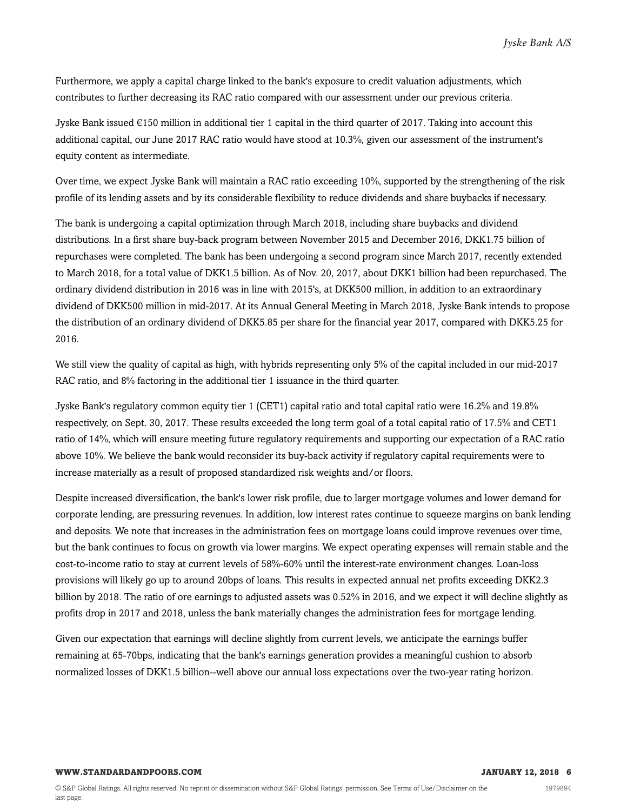Furthermore, we apply a capital charge linked to the bank's exposure to credit valuation adjustments, which contributes to further decreasing its RAC ratio compared with our assessment under our previous criteria.

Jyske Bank issued €150 million in additional tier 1 capital in the third quarter of 2017. Taking into account this additional capital, our June 2017 RAC ratio would have stood at 10.3%, given our assessment of the instrument's equity content as intermediate.

Over time, we expect Jyske Bank will maintain a RAC ratio exceeding 10%, supported by the strengthening of the risk profile of its lending assets and by its considerable flexibility to reduce dividends and share buybacks if necessary.

The bank is undergoing a capital optimization through March 2018, including share buybacks and dividend distributions. In a first share buy-back program between November 2015 and December 2016, DKK1.75 billion of repurchases were completed. The bank has been undergoing a second program since March 2017, recently extended to March 2018, for a total value of DKK1.5 billion. As of Nov. 20, 2017, about DKK1 billion had been repurchased. The ordinary dividend distribution in 2016 was in line with 2015's, at DKK500 million, in addition to an extraordinary dividend of DKK500 million in mid-2017. At its Annual General Meeting in March 2018, Jyske Bank intends to propose the distribution of an ordinary dividend of DKK5.85 per share for the financial year 2017, compared with DKK5.25 for 2016.

We still view the quality of capital as high, with hybrids representing only 5% of the capital included in our mid-2017 RAC ratio, and 8% factoring in the additional tier 1 issuance in the third quarter.

Jyske Bank's regulatory common equity tier 1 (CET1) capital ratio and total capital ratio were 16.2% and 19.8% respectively, on Sept. 30, 2017. These results exceeded the long term goal of a total capital ratio of 17.5% and CET1 ratio of 14%, which will ensure meeting future regulatory requirements and supporting our expectation of a RAC ratio above 10%. We believe the bank would reconsider its buy-back activity if regulatory capital requirements were to increase materially as a result of proposed standardized risk weights and/or floors.

Despite increased diversification, the bank's lower risk profile, due to larger mortgage volumes and lower demand for corporate lending, are pressuring revenues. In addition, low interest rates continue to squeeze margins on bank lending and deposits. We note that increases in the administration fees on mortgage loans could improve revenues over time, but the bank continues to focus on growth via lower margins. We expect operating expenses will remain stable and the cost-to-income ratio to stay at current levels of 58%-60% until the interest-rate environment changes. Loan-loss provisions will likely go up to around 20bps of loans. This results in expected annual net profits exceeding DKK2.3 billion by 2018. The ratio of ore earnings to adjusted assets was 0.52% in 2016, and we expect it will decline slightly as profits drop in 2017 and 2018, unless the bank materially changes the administration fees for mortgage lending.

Given our expectation that earnings will decline slightly from current levels, we anticipate the earnings buffer remaining at 65-70bps, indicating that the bank's earnings generation provides a meaningful cushion to absorb normalized losses of DKK1.5 billion--well above our annual loss expectations over the two-year rating horizon.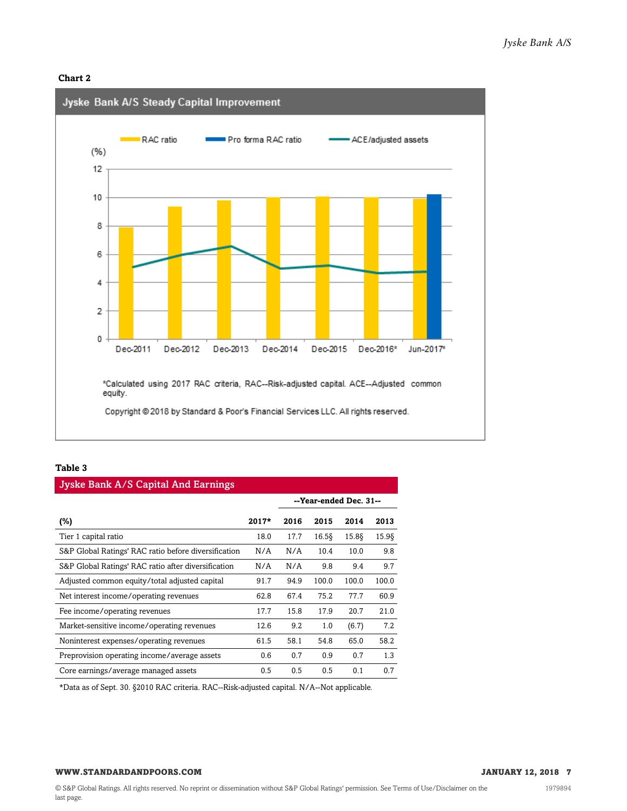#### **Chart 2**



#### **Table 3**

| <b>Jyske Bank A/S Capital And Earnings</b>           |         |      |       |                        |          |  |  |  |
|------------------------------------------------------|---------|------|-------|------------------------|----------|--|--|--|
|                                                      |         |      |       | --Year-ended Dec. 31-- |          |  |  |  |
| $(\%)$                                               | $2017*$ | 2016 | 2015  | 2014                   | 2013     |  |  |  |
| Tier 1 capital ratio                                 | 18.0    | 17.7 | 16.58 | 15.88                  | $15.9\S$ |  |  |  |
| S&P Global Ratings' RAC ratio before diversification | N/A     | N/A  | 10.4  | 10.0                   | 9.8      |  |  |  |
| S&P Global Ratings' RAC ratio after diversification  | N/A     | N/A  | 9.8   | 9.4                    | 9.7      |  |  |  |
| Adjusted common equity/total adjusted capital        | 91.7    | 94.9 | 100.0 | 100.0                  | 100.0    |  |  |  |
| Net interest income/operating revenues               | 62.8    | 67.4 | 75.2  | 77.7                   | 60.9     |  |  |  |
| Fee income/operating revenues                        | 17.7    | 15.8 | 17.9  | 20.7                   | 21.0     |  |  |  |
| Market-sensitive income/operating revenues           | 12.6    | 9.2  | 1.0   | (6.7)                  | 7.2      |  |  |  |
| Noninterest expenses/operating revenues              | 61.5    | 58.1 | 54.8  | 65.0                   | 58.2     |  |  |  |
| Preprovision operating income/average assets         | 0.6     | 0.7  | 0.9   | 0.7                    | 1.3      |  |  |  |
| Core earnings/average managed assets                 | 0.5     | 0.5  | 0.5   | 0.1                    | 0.7      |  |  |  |

\*Data as of Sept. 30. §2010 RAC criteria. RAC--Risk-adjusted capital. N/A--Not applicable.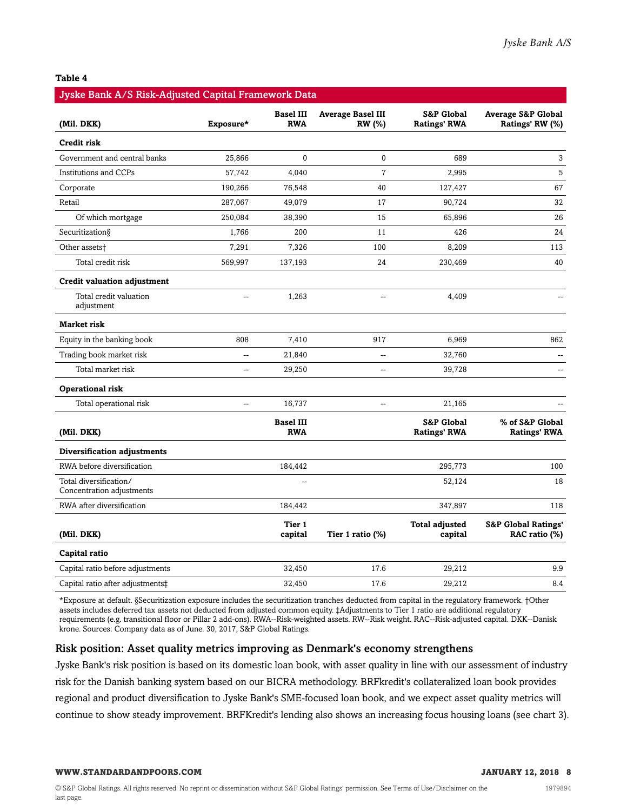#### **Table 4**

| Jyske Bank A/S Risk-Adjusted Capital Framework Data |                |                                |                                    |                                              |                                                  |
|-----------------------------------------------------|----------------|--------------------------------|------------------------------------|----------------------------------------------|--------------------------------------------------|
| (Mil. DKK)                                          | Exposure*      | <b>Basel III</b><br><b>RWA</b> | <b>Average Basel III</b><br>RW (%) | <b>S&amp;P Global</b><br><b>Ratings' RWA</b> | <b>Average S&amp;P Global</b><br>Ratings' RW (%) |
| Credit risk                                         |                |                                |                                    |                                              |                                                  |
| Government and central banks                        | 25,866         | $\mathbf{0}$                   | $\mathbf 0$                        | 689                                          | 3                                                |
| <b>Institutions and CCPs</b>                        | 57,742         | 4,040                          | $\overline{7}$                     | 2,995                                        | 5                                                |
| Corporate                                           | 190,266        | 76,548                         | 40                                 | 127,427                                      | 67                                               |
| Retail                                              | 287,067        | 49,079                         | 17                                 | 90,724                                       | 32                                               |
| Of which mortgage                                   | 250,084        | 38,390                         | 15                                 | 65,896                                       | 26                                               |
| Securitization§                                     | 1,766          | 200                            | 11                                 | 426                                          | 24                                               |
| Other assets <sup>+</sup>                           | 7,291          | 7,326                          | 100                                | 8,209                                        | 113                                              |
| Total credit risk                                   | 569,997        | 137,193                        | 24                                 | 230,469                                      | 40                                               |
| <b>Credit valuation adjustment</b>                  |                |                                |                                    |                                              |                                                  |
| Total credit valuation<br>adjustment                |                | 1,263                          | $\overline{a}$                     | 4,409                                        |                                                  |
| <b>Market risk</b>                                  |                |                                |                                    |                                              |                                                  |
| Equity in the banking book                          | 808            | 7,410                          | 917                                | 6,969                                        | 862                                              |
| Trading book market risk                            | $\overline{a}$ | 21,840                         |                                    | 32,760                                       |                                                  |
| Total market risk                                   | $\overline{a}$ | 29,250                         | $\overline{a}$                     | 39,728                                       | $\overline{a}$                                   |
| Operational risk                                    |                |                                |                                    |                                              |                                                  |
| Total operational risk                              | -−             | 16,737                         | Щ,                                 | 21,165                                       |                                                  |
| (Mil. DKK)                                          |                | <b>Basel III</b><br><b>RWA</b> |                                    | <b>S&amp;P Global</b><br><b>Ratings' RWA</b> | % of S&P Global<br><b>Ratings' RWA</b>           |
| Diversification adjustments                         |                |                                |                                    |                                              |                                                  |
| RWA before diversification                          |                | 184,442                        |                                    | 295,773                                      | 100                                              |
| Total diversification/<br>Concentration adjustments |                |                                |                                    | 52,124                                       | 18                                               |
| RWA after diversification                           |                | 184,442                        |                                    | 347,897                                      | 118                                              |
| (Mil. DKK)                                          |                | Tier 1<br>capital              | Tier 1 ratio (%)                   | <b>Total adjusted</b><br>capital             | <b>S&amp;P Global Ratings'</b><br>RAC ratio (%)  |
| Capital ratio                                       |                |                                |                                    |                                              |                                                  |
| Capital ratio before adjustments                    |                | 32,450                         | 17.6                               | 29,212                                       | 9.9                                              |
| Capital ratio after adjustments <sup>+</sup>        |                | 32,450                         | 17.6                               | 29,212                                       | 8.4                                              |

\*Exposure at default. §Securitization exposure includes the securitization tranches deducted from capital in the regulatory framework. †Other assets includes deferred tax assets not deducted from adjusted common equity. ‡Adjustments to Tier 1 ratio are additional regulatory requirements (e.g. transitional floor or Pillar 2 add-ons). RWA--Risk-weighted assets. RW--Risk weight. RAC--Risk-adjusted capital. DKK--Danisk krone. Sources: Company data as of June. 30, 2017, S&P Global Ratings.

#### Risk position: Asset quality metrics improving as Denmark's economy strengthens

Jyske Bank's risk position is based on its domestic loan book, with asset quality in line with our assessment of industry risk for the Danish banking system based on our BICRA methodology. BRFkredit's collateralized loan book provides regional and product diversification to Jyske Bank's SME-focused loan book, and we expect asset quality metrics will continue to show steady improvement. BRFKredit's lending also shows an increasing focus housing loans (see chart 3).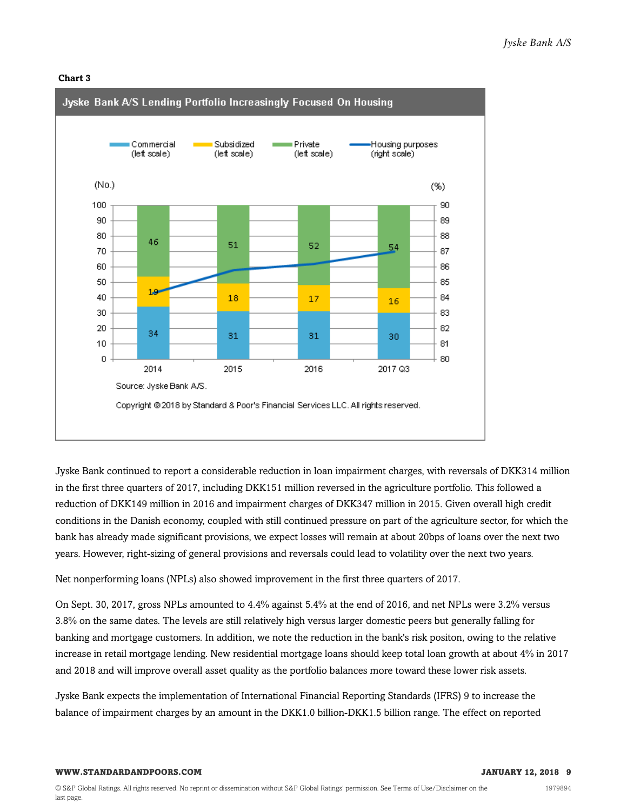#### **Chart 3**



Jyske Bank continued to report a considerable reduction in loan impairment charges, with reversals of DKK314 million in the first three quarters of 2017, including DKK151 million reversed in the agriculture portfolio. This followed a reduction of DKK149 million in 2016 and impairment charges of DKK347 million in 2015. Given overall high credit conditions in the Danish economy, coupled with still continued pressure on part of the agriculture sector, for which the bank has already made significant provisions, we expect losses will remain at about 20bps of loans over the next two years. However, right-sizing of general provisions and reversals could lead to volatility over the next two years.

Net nonperforming loans (NPLs) also showed improvement in the first three quarters of 2017.

On Sept. 30, 2017, gross NPLs amounted to 4.4% against 5.4% at the end of 2016, and net NPLs were 3.2% versus 3.8% on the same dates. The levels are still relatively high versus larger domestic peers but generally falling for banking and mortgage customers. In addition, we note the reduction in the bank's risk positon, owing to the relative increase in retail mortgage lending. New residential mortgage loans should keep total loan growth at about 4% in 2017 and 2018 and will improve overall asset quality as the portfolio balances more toward these lower risk assets.

Jyske Bank expects the implementation of International Financial Reporting Standards (IFRS) 9 to increase the balance of impairment charges by an amount in the DKK1.0 billion-DKK1.5 billion range. The effect on reported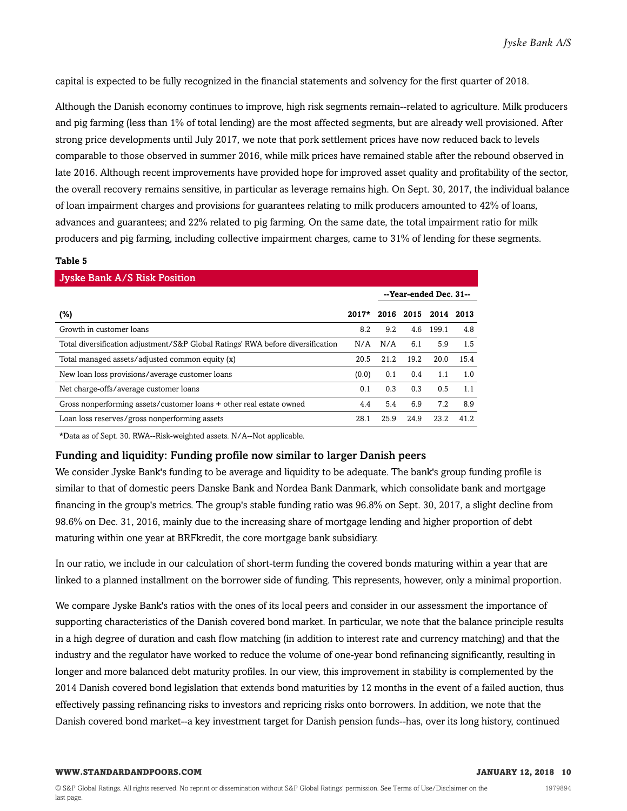capital is expected to be fully recognized in the financial statements and solvency for the first quarter of 2018.

Although the Danish economy continues to improve, high risk segments remain--related to agriculture. Milk producers and pig farming (less than 1% of total lending) are the most affected segments, but are already well provisioned. After strong price developments until July 2017, we note that pork settlement prices have now reduced back to levels comparable to those observed in summer 2016, while milk prices have remained stable after the rebound observed in late 2016. Although recent improvements have provided hope for improved asset quality and profitability of the sector, the overall recovery remains sensitive, in particular as leverage remains high. On Sept. 30, 2017, the individual balance of loan impairment charges and provisions for guarantees relating to milk producers amounted to 42% of loans, advances and guarantees; and 22% related to pig farming. On the same date, the total impairment ratio for milk producers and pig farming, including collective impairment charges, came to 31% of lending for these segments.

#### **Table 5**

| <b>Jyske Bank A/S Risk Position</b>                                             |         |      |           |                        |      |  |  |  |  |
|---------------------------------------------------------------------------------|---------|------|-----------|------------------------|------|--|--|--|--|
|                                                                                 |         |      |           | --Year-ended Dec. 31-- |      |  |  |  |  |
| (%)                                                                             | $2017*$ |      | 2016 2015 | 2014 2013              |      |  |  |  |  |
| Growth in customer loans                                                        | 8.2     | 9.2  | 4.6       | 199.1                  | 4.8  |  |  |  |  |
| Total diversification adjustment/S&P Global Ratings' RWA before diversification | N/A     | N/A  | 6.1       | 5.9                    | 1.5  |  |  |  |  |
| Total managed assets/adjusted common equity (x)                                 | 20.5    | 21.2 | 19.2      | 20.0                   | 15.4 |  |  |  |  |
| New loan loss provisions/average customer loans                                 | (0.0)   | 0.1  | 0.4       | 1.1                    | 1.0  |  |  |  |  |
| Net charge-offs/average customer loans                                          | 0.1     | 0.3  | 0.3       | 0.5                    | 1.1  |  |  |  |  |
| Gross nonperforming assets/customer loans + other real estate owned             | 4.4     | 5.4  | 6.9       | 7.2                    | 8.9  |  |  |  |  |
| Loan loss reserves/gross nonperforming assets                                   | 28.1    | 25.9 | 24.9      | 23.2                   | 41.2 |  |  |  |  |

\*Data as of Sept. 30. RWA--Risk-weighted assets. N/A--Not applicable.

#### Funding and liquidity: Funding profile now similar to larger Danish peers

We consider Jyske Bank's funding to be average and liquidity to be adequate. The bank's group funding profile is similar to that of domestic peers Danske Bank and Nordea Bank Danmark, which consolidate bank and mortgage financing in the group's metrics. The group's stable funding ratio was 96.8% on Sept. 30, 2017, a slight decline from 98.6% on Dec. 31, 2016, mainly due to the increasing share of mortgage lending and higher proportion of debt maturing within one year at BRFkredit, the core mortgage bank subsidiary.

In our ratio, we include in our calculation of short-term funding the covered bonds maturing within a year that are linked to a planned installment on the borrower side of funding. This represents, however, only a minimal proportion.

We compare Jyske Bank's ratios with the ones of its local peers and consider in our assessment the importance of supporting characteristics of the Danish covered bond market. In particular, we note that the balance principle results in a high degree of duration and cash flow matching (in addition to interest rate and currency matching) and that the industry and the regulator have worked to reduce the volume of one-year bond refinancing significantly, resulting in longer and more balanced debt maturity profiles. In our view, this improvement in stability is complemented by the 2014 Danish covered bond legislation that extends bond maturities by 12 months in the event of a failed auction, thus effectively passing refinancing risks to investors and repricing risks onto borrowers. In addition, we note that the Danish covered bond market--a key investment target for Danish pension funds--has, over its long history, continued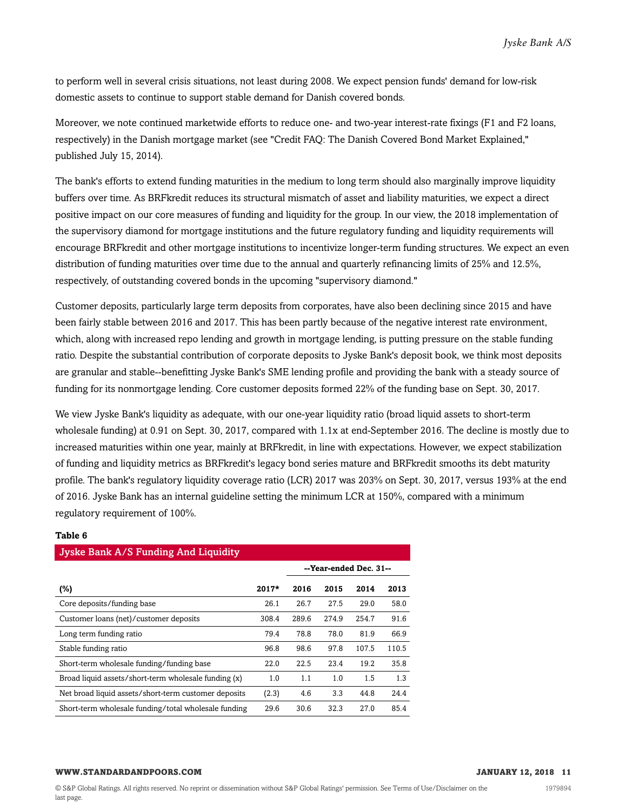to perform well in several crisis situations, not least during 2008. We expect pension funds' demand for low-risk domestic assets to continue to support stable demand for Danish covered bonds.

Moreover, we note continued marketwide efforts to reduce one- and two-year interest-rate fixings (F1 and F2 loans, respectively) in the Danish mortgage market (see "Credit FAQ: The Danish Covered Bond Market Explained," published July 15, 2014).

The bank's efforts to extend funding maturities in the medium to long term should also marginally improve liquidity buffers over time. As BRFkredit reduces its structural mismatch of asset and liability maturities, we expect a direct positive impact on our core measures of funding and liquidity for the group. In our view, the 2018 implementation of the supervisory diamond for mortgage institutions and the future regulatory funding and liquidity requirements will encourage BRFkredit and other mortgage institutions to incentivize longer-term funding structures. We expect an even distribution of funding maturities over time due to the annual and quarterly refinancing limits of 25% and 12.5%, respectively, of outstanding covered bonds in the upcoming "supervisory diamond."

Customer deposits, particularly large term deposits from corporates, have also been declining since 2015 and have been fairly stable between 2016 and 2017. This has been partly because of the negative interest rate environment, which, along with increased repo lending and growth in mortgage lending, is putting pressure on the stable funding ratio. Despite the substantial contribution of corporate deposits to Jyske Bank's deposit book, we think most deposits are granular and stable--benefitting Jyske Bank's SME lending profile and providing the bank with a steady source of funding for its nonmortgage lending. Core customer deposits formed 22% of the funding base on Sept. 30, 2017.

We view Jyske Bank's liquidity as adequate, with our one-year liquidity ratio (broad liquid assets to short-term wholesale funding) at 0.91 on Sept. 30, 2017, compared with 1.1x at end-September 2016. The decline is mostly due to increased maturities within one year, mainly at BRFkredit, in line with expectations. However, we expect stabilization of funding and liquidity metrics as BRFkredit's legacy bond series mature and BRFkredit smooths its debt maturity profile. The bank's regulatory liquidity coverage ratio (LCR) 2017 was 203% on Sept. 30, 2017, versus 193% at the end of 2016. Jyske Bank has an internal guideline setting the minimum LCR at 150%, compared with a minimum regulatory requirement of 100%.

#### **Table 6**

| Jyske Bank A/S Funding And Liquidity                 |       |       |       |                        |       |  |  |  |  |
|------------------------------------------------------|-------|-------|-------|------------------------|-------|--|--|--|--|
|                                                      |       |       |       | --Year-ended Dec. 31-- |       |  |  |  |  |
| (%)                                                  | 2017* | 2016  | 2015  | 2014                   | 2013  |  |  |  |  |
| Core deposits/funding base                           | 26.1  | 26.7  | 27.5  | 29.0                   | 58.0  |  |  |  |  |
| Customer loans (net)/customer deposits               | 308.4 | 289.6 | 274.9 | 254.7                  | 91.6  |  |  |  |  |
| Long term funding ratio                              | 79.4  | 78.8  | 78.0  | 81.9                   | 66.9  |  |  |  |  |
| Stable funding ratio                                 | 96.8  | 98.6  | 97.8  | 107.5                  | 110.5 |  |  |  |  |
| Short-term wholesale funding/funding base            | 22.0  | 22.5  | 23.4  | 19.2                   | 35.8  |  |  |  |  |
| Broad liquid assets/short-term wholesale funding (x) | 1.0   | 1.1   | 1.0   | 1.5                    | 1.3   |  |  |  |  |
| Net broad liquid assets/short-term customer deposits | (2.3) | 4.6   | 3.3   | 44.8                   | 24.4  |  |  |  |  |
| Short-term wholesale funding/total wholesale funding | 29.6  | 30.6  | 32.3  | 27.0                   | 85.4  |  |  |  |  |

#### **WWW.STANDARDANDPOORS.COM JANUARY 12, 2018 11**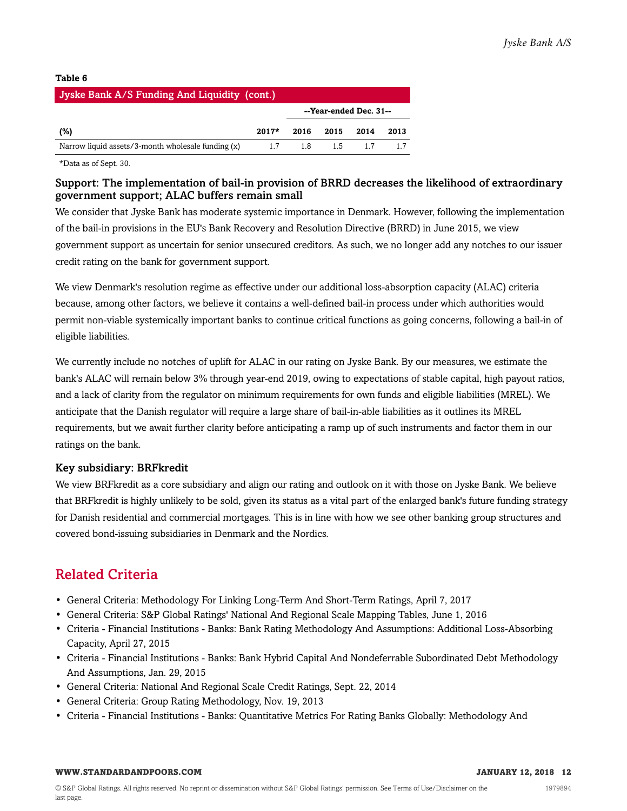#### **Table 6**

| Jyske Bank A/S Funding And Liquidity (cont.)       |         |                        |        |       |      |  |  |  |
|----------------------------------------------------|---------|------------------------|--------|-------|------|--|--|--|
|                                                    |         | --Year-ended Dec. 31-- |        |       |      |  |  |  |
| (%)                                                | $2017*$ | 2016                   | - 2015 | 2014  | 2013 |  |  |  |
| Narrow liquid assets/3-month wholesale funding (x) | 1.7     | 18                     |        | 15 17 |      |  |  |  |

\*Data as of Sept. 30.

#### Support: The implementation of bail-in provision of BRRD decreases the likelihood of extraordinary government support; ALAC buffers remain small

We consider that Jyske Bank has moderate systemic importance in Denmark. However, following the implementation of the bail-in provisions in the EU's Bank Recovery and Resolution Directive (BRRD) in June 2015, we view government support as uncertain for senior unsecured creditors. As such, we no longer add any notches to our issuer credit rating on the bank for government support.

We view Denmark's resolution regime as effective under our additional loss-absorption capacity (ALAC) criteria because, among other factors, we believe it contains a well-defined bail-in process under which authorities would permit non-viable systemically important banks to continue critical functions as going concerns, following a bail-in of eligible liabilities.

We currently include no notches of uplift for ALAC in our rating on Jyske Bank. By our measures, we estimate the bank's ALAC will remain below 3% through year-end 2019, owing to expectations of stable capital, high payout ratios, and a lack of clarity from the regulator on minimum requirements for own funds and eligible liabilities (MREL). We anticipate that the Danish regulator will require a large share of bail-in-able liabilities as it outlines its MREL requirements, but we await further clarity before anticipating a ramp up of such instruments and factor them in our ratings on the bank.

### Key subsidiary: BRFkredit

We view BRFkredit as a core subsidiary and align our rating and outlook on it with those on Jyske Bank. We believe that BRFkredit is highly unlikely to be sold, given its status as a vital part of the enlarged bank's future funding strategy for Danish residential and commercial mortgages. This is in line with how we see other banking group structures and covered bond-issuing subsidiaries in Denmark and the Nordics.

## <span id="page-11-0"></span>Related Criteria

- General Criteria: Methodology For Linking Long-Term And Short-Term Ratings, April 7, 2017
- General Criteria: S&P Global Ratings' National And Regional Scale Mapping Tables, June 1, 2016
- Criteria Financial Institutions Banks: Bank Rating Methodology And Assumptions: Additional Loss-Absorbing Capacity, April 27, 2015
- Criteria Financial Institutions Banks: Bank Hybrid Capital And Nondeferrable Subordinated Debt Methodology And Assumptions, Jan. 29, 2015
- General Criteria: National And Regional Scale Credit Ratings, Sept. 22, 2014
- General Criteria: Group Rating Methodology, Nov. 19, 2013
- Criteria Financial Institutions Banks: Quantitative Metrics For Rating Banks Globally: Methodology And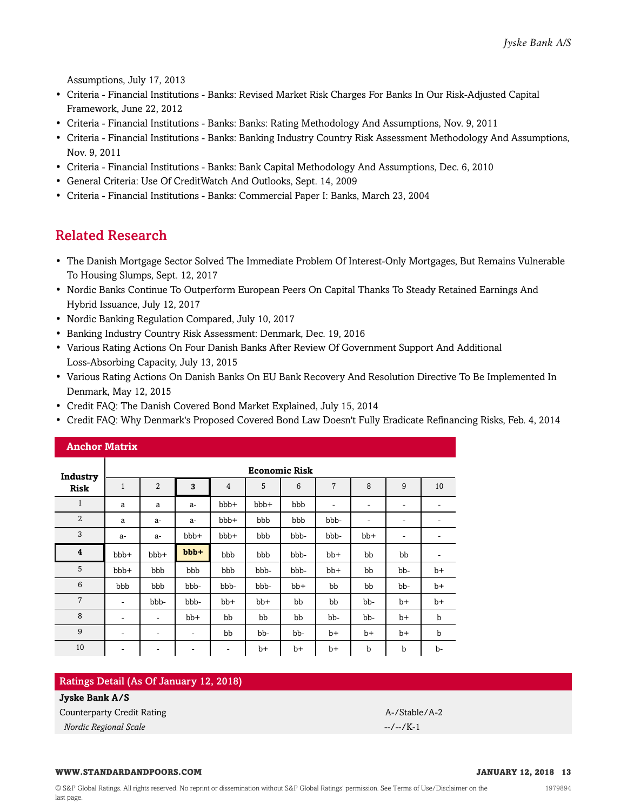Assumptions, July 17, 2013

- Criteria Financial Institutions Banks: Revised Market Risk Charges For Banks In Our Risk-Adjusted Capital Framework, June 22, 2012
- Criteria Financial Institutions Banks: Banks: Rating Methodology And Assumptions, Nov. 9, 2011
- Criteria Financial Institutions Banks: Banking Industry Country Risk Assessment Methodology And Assumptions, Nov. 9, 2011
- Criteria Financial Institutions Banks: Bank Capital Methodology And Assumptions, Dec. 6, 2010
- General Criteria: Use Of CreditWatch And Outlooks, Sept. 14, 2009
- <span id="page-12-0"></span>• Criteria - Financial Institutions - Banks: Commercial Paper I: Banks, March 23, 2004

### Related Research

- The Danish Mortgage Sector Solved The Immediate Problem Of Interest-Only Mortgages, But Remains Vulnerable To Housing Slumps, Sept. 12, 2017
- Nordic Banks Continue To Outperform European Peers On Capital Thanks To Steady Retained Earnings And Hybrid Issuance, July 12, 2017
- Nordic Banking Regulation Compared, July 10, 2017
- Banking Industry Country Risk Assessment: Denmark, Dec. 19, 2016
- Various Rating Actions On Four Danish Banks After Review Of Government Support And Additional Loss-Absorbing Capacity, July 13, 2015
- Various Rating Actions On Danish Banks On EU Bank Recovery And Resolution Directive To Be Implemented In Denmark, May 12, 2015
- Credit FAQ: The Danish Covered Bond Market Explained, July 15, 2014
- Credit FAQ: Why Denmark's Proposed Covered Bond Law Doesn't Fully Eradicate Refinancing Risks, Feb. 4, 2014

| <b>Anchor Matrix</b> |                          |                              |       |       |       |       |                              |                          |                              |             |
|----------------------|--------------------------|------------------------------|-------|-------|-------|-------|------------------------------|--------------------------|------------------------------|-------------|
| Industry             |                          | <b>Economic Risk</b>         |       |       |       |       |                              |                          |                              |             |
| <b>Risk</b>          | $\mathbf{1}$             | $\overline{2}$               | 3     | 4     | 5     | 6     | 7                            | 8                        | $9\,$                        | 10          |
| $\mathbf{1}$         | a                        | a                            | $a-$  | bbb+  | bbb+  | bbb   | $\qquad \qquad \blacksquare$ | $\overline{\phantom{a}}$ | $\qquad \qquad \blacksquare$ | ۰           |
| $\overline{2}$       | a                        | $a-$                         | $a-$  | bbb+  | bbb   | bbb   | bbb-                         | ۰                        | $\qquad \qquad \blacksquare$ | ۰           |
| 3                    | $a-$                     | $a-$                         | bbb+  | bbb+  | bbb   | bbb-  | bbb-                         | bb+                      | ۰                            |             |
| 4                    | bbb+                     | bbb+                         | bbb+  | bbb   | bbb   | bbb-  | $bb+$                        | bb                       | bb                           | -           |
| 5                    | bbb+                     | bbb                          | bbb   | bbb   | bbb-  | bbb-  | $bb+$                        | bb                       | bb-                          | $b+$        |
| 6                    | bbb                      | bbb                          | bbb-  | bbb-  | bbb-  | $bb+$ | bb                           | bb                       | bb-                          | $b+$        |
| $\overline{7}$       | $\overline{\phantom{a}}$ | bbb-                         | bbb-  | $bb+$ | $bb+$ | bb    | bb                           | bb-                      | $b+$                         | $b+$        |
| 8                    | $\overline{\phantom{a}}$ | $\qquad \qquad \blacksquare$ | $bb+$ | bb    | bb    | bb    | bb-                          | bb-                      | $b+$                         | b           |
| 9                    | ۰                        | ۰                            | ۰     | bb    | bb-   | bb-   | $b+$                         | b+                       | b+                           | $\mathbf b$ |
| 10                   | $\overline{\phantom{a}}$ | $\overline{\phantom{a}}$     | -     | ۰     | $b+$  | b+    | $b+$                         | b                        | b                            | b-          |

#### Ratings Detail (As Of January 12, 2018)

#### **Jyske Bank A/S**

Counterparty Credit Rating A-/Stable/A-2

*Nordic Regional Scale* --/--/K-1

#### **WWW.STANDARDANDPOORS.COM JANUARY 12, 2018 13**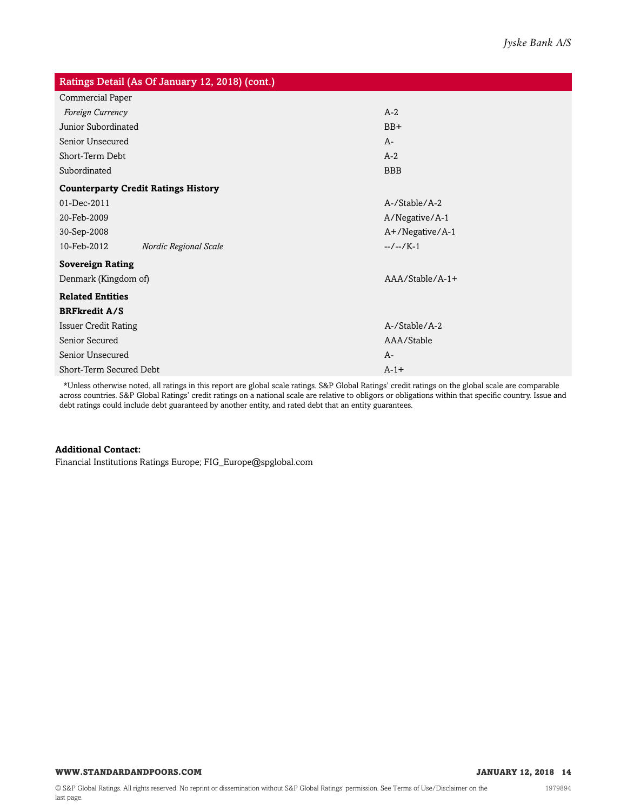| Ratings Detail (As Of January 12, 2018) (cont.) |                       |                   |  |  |  |  |  |
|-------------------------------------------------|-----------------------|-------------------|--|--|--|--|--|
| Commercial Paper                                |                       |                   |  |  |  |  |  |
| Foreign Currency                                |                       | $A-2$             |  |  |  |  |  |
| Junior Subordinated                             |                       | $BB+$             |  |  |  |  |  |
| Senior Unsecured                                |                       | $A-$              |  |  |  |  |  |
| Short-Term Debt                                 |                       | $A-2$             |  |  |  |  |  |
| Subordinated                                    |                       | <b>BBB</b>        |  |  |  |  |  |
| <b>Counterparty Credit Ratings History</b>      |                       |                   |  |  |  |  |  |
| 01-Dec-2011                                     |                       | A-/Stable/A-2     |  |  |  |  |  |
| 20-Feb-2009                                     |                       | A/Negative/A-1    |  |  |  |  |  |
| 30-Sep-2008                                     |                       | A+/Negative/A-1   |  |  |  |  |  |
| 10-Feb-2012                                     | Nordic Regional Scale | $-/-/K-1$         |  |  |  |  |  |
| <b>Sovereign Rating</b>                         |                       |                   |  |  |  |  |  |
| Denmark (Kingdom of)                            |                       | $AAA/Stable/A-1+$ |  |  |  |  |  |
| <b>Related Entities</b>                         |                       |                   |  |  |  |  |  |
| <b>BRFkredit A/S</b>                            |                       |                   |  |  |  |  |  |
| <b>Issuer Credit Rating</b>                     |                       | A-/Stable/A-2     |  |  |  |  |  |
| Senior Secured                                  |                       | AAA/Stable        |  |  |  |  |  |
| Senior Unsecured                                |                       | $A-$              |  |  |  |  |  |
| Short-Term Secured Debt                         |                       | $A-1+$            |  |  |  |  |  |

\*Unless otherwise noted, all ratings in this report are global scale ratings. S&P Global Ratings' credit ratings on the global scale are comparable across countries. S&P Global Ratings' credit ratings on a national scale are relative to obligors or obligations within that specific country. Issue and debt ratings could include debt guaranteed by another entity, and rated debt that an entity guarantees.

#### **Additional Contact:**

Financial Institutions Ratings Europe; FIG\_Europe@spglobal.com